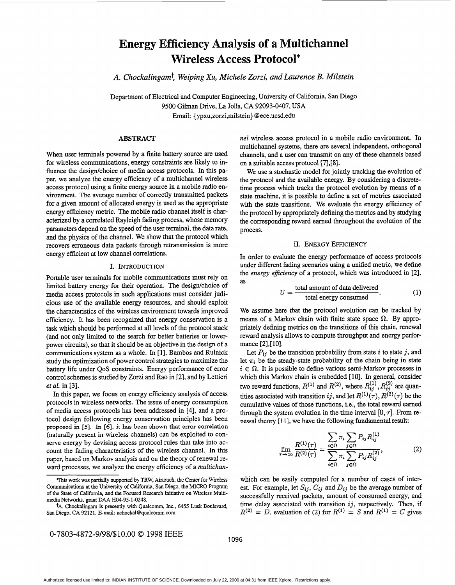# **Energy Efficiency Analysis of a Multichannel Wireless Access Protocol\***

**A.** *Chockalingamt, Weiping Xu, Michele ZOrzi, and Laurence B. Milstein* 

Department of Electrical and Computer Engineering, University of California, San Diego 9500 Gilman Drive, La Jolla, **CA** 92093-0407, **USA**  Email: { ypxu,zorzi,milstein} [@ece.ucsd.edu](mailto:ece.ucsd.edu)

## **ABSTRACT**

When user terminals powered by a finite battery source are used for wireless communications, energy constraints are likely to influence the design/choice of media access protocols. In this paper, we analyze the energy efficiency of a multichannel wireless access protocol using a finite energy source in a mobile radio environment. The average number of correctly transmitted packets for a given amount of allocated energy is used **as** the appropriate energy efficiency metric. The mobile radio channel itself is characterized by a correlated Rayleigh fading process, whose memory parameters depend on the speed of the user terminal, the data rate, and the physics of the channel. We show that the protocol which recovers erroneous data packets through retransmission is more energy efficient at low channel correlations.

#### I. INTRODUCTION

Portable user terminals for mobile communications must rely on limited battery energy for their operation. The design/choice of media access protocols in such applications must consider judicious use of the available energy resources, and should exploit the characteristics of the wireless environment towards improved efficiency. It has been recognized that energy conservation is a task which should be performed at all levels of the protocol stack (and not only limited to the search for better batteries or lowerpower circuits), so that it should be an objective in the design of a communications system **as** a whole. In [ 11, Bambos and Rulnick study the optimization of power control strategies *to* maximize the battery life under *QoS* constraints. Energy performance of error control schemes is studied by Zorzi and Rao in **[2],** and by Lettieri *et al.* in [3].

In this paper, we focus on energy efficiency analysis of access protocols in wireless networks. The issue of energy consumption of media access protocols has been addressed in **[4],** and a protocol design following energy conservation principles has been **proposed** in *[5].* In *[6],* **it has** been shown that error correlation (naturally present in wireless channels) can be exploited to conserve energy by devising access protocol rules that take into account the fading characteristics of the wireless channel. In this paper, based on Markov analysis and on the theory of renewal reward processes, we analyze the energy efficiency of a *multichan-*

$$
0-7803-4872-9/98/\$10.00 \text{ } \textcircled{\textcolor{red}{0}} \text{ 1998 IEEE}
$$

*nel* wireless access protocol in a mobile radio environment. In multichannel systems, there are several independent, orthogonal channels, and a user can transmit on any of these channels based on a suitable access protocol **[7],[8].** 

We use a stochastic model for jointly tracking the evolution of the protocol and the available energy. By considering a discretetime process which tracks the protocol evolution by means of a state machine, it is possible to define a set of metrics associated with the state transitions. We evaluate the energy efficiency of the protocol by appropriately defining the metrics and by studying the corresponding reward earned throughout the evolution of the process.

#### 11. **ENERGY** EFFICIENCY

In order to evaluate the energy performance of access protocols under different fading scenarios using a unified metric, we define the *energy eficiency* of a protocol, which was introduced in [2], as

$$
U = \frac{\text{total amount of data delivered}}{\text{total energy consumed}}.
$$
 (1)

We assume here that the protocol evolution can be tracked by means of a Markov chain with finite state space  $\Omega$ . By appropriately defining metrics on the transitions of this chain, renewal reward analysis allows to compute throughput and energy performance [2],[10].

Let  $P_{ij}$  be the transition probability from state *i* to state *j*, and let  $\pi_i$  be the steady-state probability of the chain being in state  $i \in \Omega$ . It is possible to define various semi-Markov processes in which this Markov chain is embedded [10]. In general, consider two reward functions,  $R^{(1)}$  and  $R^{(2)}$ , where  $R_{ij}^{(1)}$ ,  $R_{ij}^{(2)}$  are quantities associated with transition *ij*, and let  $R^{(1)}(\tau)$ ,  $R^{(2)}(\tau)$  be the cumulative values of those functions, i.e., the total reward earned through the system evolution in the time interval  $[0, \tau]$ . From renewal theory [11], we have the following fundamental result:

$$
\lim_{\tau \to \infty} \frac{R^{(1)}(\tau)}{R^{(2)}(\tau)} = \frac{\sum_{i \in \Omega} \pi_i \sum_{j \in \Omega} P_{ij} R_{ij}^{(1)}}{\sum_{i \in \Omega} \pi_i \sum_{j \in \Omega} P_{ij} R_{ij}^{(2)}},\tag{2}
$$

which can be easily computed for a number of cases of interest. For example, let  $S_{ij}$ ,  $C_{ij}$  and  $D_{ij}$  be the average number of successfully received packets, amount of consumed energy, and time delay associated with transition *ij*, respectively. Then, if  $R^{(2)} = D$ , evaluation of (2) for  $R^{(1)} = S$  and  $R^{(1)} = C$  gives

This work **was** partially supported by TRW, Airtouch, the Center **for** Wreless Communications **at** the University of California, San Diego, the MICRO Program of the State of California, and the Focused Research Initiative on Wireless Multimedia Networks, **grant** DAA H04-95-1-0248.

**tA.** Chockalingam is presently with Qualcomm, Inc., 6455 Lusk Boulevard, **San** Diego, CA 92121. E-mail: [achockal@qualcomm.com](mailto:achockal@qualcomm.com)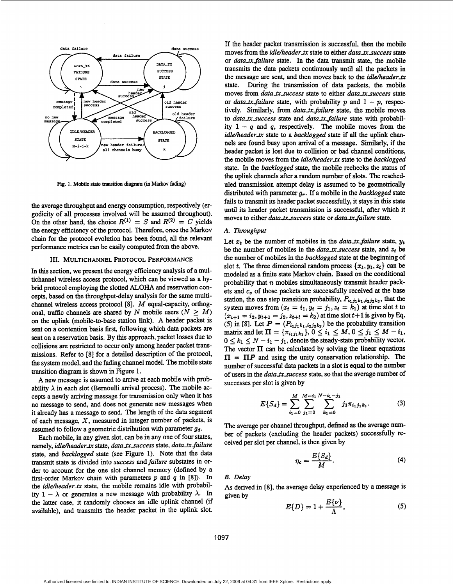

**Fig. 1. Mobile state tramition diagram (in Markov fading)** 

the average throughput and energy consumption, respectively (ergodicity of all processes involved will be assumed throughout). On the other hand, the choice  $R^{(1)} = S$  and  $R^{(2)} = C$  yields the energy efficiency of the protocol. Therefore, once the Markov chain for the protocol evolution has been found, all the relevant performance metrics can be easily computed from the above.

#### 111. **MULTICHANNEL PROTOCOL PERFORMANCE**

In **this** section, we present the energy efficiency analysis of a multichannel wireless access protocol, which can be viewed **as** a hybrid protocol employing the slotted **ALOHA** and reservation concepts, based on the throughpiit-delay analysis for the same multichannel wireless access protocol **[8].** M equal-capacity, orthogonal, traffic channels are shared by *N* mobile users ( $N \geq M$ ) on the uplink (mobile-to-base station link). A header packet is sent on a contention basis first, following which data packets are sent on a reservation basis. By **this** approach, packet losses due to collisions are restricted to occur only among header packet transmissions. Refer to **[SI** for a detailed description of the protocol, the system model, and the fading channel model. The mobile state transition diagram is shown iin Figure 1.

A new message is assumed to arrive at each mobile with probability  $\lambda$  in each slot (Bernoulli arrival process). The mobile accepts a newly arriving message for transmission only when it has no message to send, and does not generate new messages when it already has a message to send. The length of the data segment of each message,  $X$ , measured in integer number of packets, is assumed to follow a geometric distribution with parameter  $g_d$ .

Each mobile, in any given slot, can be in any one of four states, namely, *idle/header-tn* state, *data-tnsuccess* state, *data-tx-failure*  state, and *backlogged* state (see Figure **1).** Note that the data transmit state is divided into *success* and *failure* substates in order to account for the one slot channel memory (defined by a first-order Markov chain with parameters p and *q* in **[SI).** In the *idleheader-tx* state, the mobile remains idle with probability  $1 - \lambda$  or generates a new message with probability  $\lambda$ . In the latter case, it randomly chooses an idle uplink channel (if available), and transmits the header packet in the uplink slot.

If the header packet transmission is successful, then the mobile moves from the *idle/header\_tx* state to either *data\_tx\_success* state or *data\_tx\_failure* state. In the data transmit state, the mobile transmits the data packets continuously until all the packets in the message are sent, and then moves back to the *idle/header\_tx* state. During the transmission of data packets, the mobile moves from *data\_tx\_success* state to either *data\_tx\_success* state or *data\_tx\_failure* state, with probability p and  $1 - p$ , respectively. Similarly, from *data-tx-failure* state, the mobile moves to *data\_tx\_success* state and *data\_tx\_failure* state with probability  $1 - q$  and q, respectively. The mobile moves from the *idleheader-tx* state to a *backlogged* state if all the uplink channels are found busy upon arrival of a message. Similarly, if the header packet is lost due to collision or bad channel conditions, the mobile moves from the *idleheader-tx* state to the *backlogged*  state. In the *backlogged* state, the mobile rechecks the status of the uplink channels after a random number of slots. The rescheduled transmission attempt delay is assumed to be geometrically distributed with parameter *gr.* If a mobile in the *backlogged* state fails to transmit its header packet successfully, it stays in **this** state until its header packet transmission is successful, after which it moves to either *data\_tx\_success* state or *data\_tx\_failure* state.

#### *A. Throughput*

Let  $x_t$  be the number of mobiles in the *data\_tx\_failure* state,  $y_t$ be the number of mobiles in the *data-txsuccess* state, and *zt* be the number of mobiles in the *backlugged* state at the beginning of slot t. The three dimensional random process  $\{x_t, y_t, z_t\}$  can be modeled **as** a finite state Markov chain. Based on the conditional probability that *n* mobiles simultaneously transmit header packets and  $c_s$  of those packets are successfully received at the base station, the one step transition probability,  $P_{i_1 j_1 k_1, i_2 j_2 k_2}$ , that the system moves from  $(x_t = i_1, y_t = j_1, z_t = k_1)$  at time slot *t* to  $(x_{t+1} = i_2, y_{t+1} = j_2, z_{t+1} = k_2)$  at time slot  $t+1$  is given by Eq. (5) in [8]. Let  $P = (P_{i_1j_1k_1,i_2j_2k_2})$  be the probability transition matrix and let  $\Pi = {\pi_{i_1 j_1 k_1}}, 0 \le i_1 \le M, 0 \le j_1 \le M - i_1$ ,  $0 \leq k_1 \leq N - i_1 - j_1$ , denote the steady-state probability vector. The vector **II** can be calculated by solving the linear equations  $\Pi = \Pi P$  and using the unity conservation relationship. The number of successful data packets in a slot is equal to the number of users in the *data-txsuccess* state, so that the average number of successes per slot is given by

$$
E\{S_d\} = \sum_{i_1=0}^{M} \sum_{j_1=0}^{M-i_1} \sum_{k_1=0}^{N-i_1-j_1} j_1 \pi_{i_1 j_1 k_1}.
$$
 (3)

The average per channel throughput, defined **as** the average number of packets (excluding the header packets) successfully received per slot per channel, is then given by

$$
\eta_c = \frac{E\{S_d\}}{M}.\tag{4}
$$

#### *B. Delay*

As derived in **[8],** the average delay experienced by a message is given by

$$
E\{D\} = 1 + \frac{E\{\nu\}}{\Lambda},\tag{5}
$$

**1097**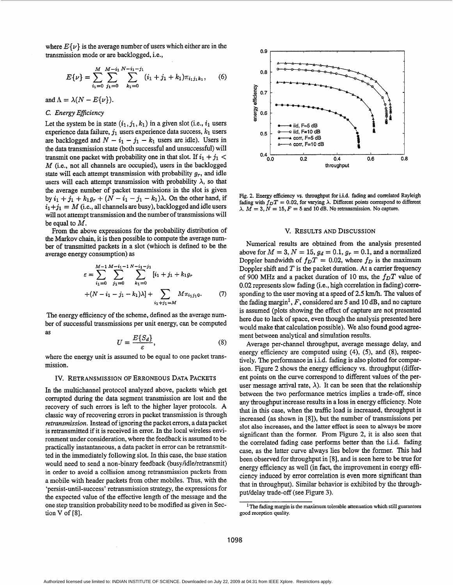where  $E\{\nu\}$  is the average number of users which either are in the transmission mode or are backlogged, i.e.,

$$
E\{\nu\} = \sum_{i_1=0}^{M} \sum_{j_1=0}^{M-i_1} \sum_{k_1=0}^{N-i_1-j_1} (i_1+j_1+k_1)\pi_{i_1j_1k_1}, \quad (6)
$$

and  $\Lambda = \lambda(N - E\{\nu\})$ .

## *C. Energy Eficiency*

Let the system be in state  $(i_1, j_1, k_1)$  in a given slot (i.e.,  $i_1$  users experience data failure,  $j_1$  users experience data success,  $k_1$  users are backlogged and  $N - i_1 - j_1 - k_1$  users are idle). Users in the data transmission state (both successful and unsuccessful) will transmit one packet with probability one in that slot. If  $i_1 + j_1 <$ *M* (i.e., not all channels are occupied), users in the backlogged state will each attempt transmission with probability  $g_r$ , and idle users will each attempt transmission with probability  $\lambda$ , so that the average number of packet transmissions in the slot is given by  $i_1 + j_1 + k_1 g_r + (N - i_1 - j_1 - k_1)\lambda$ . On the other hand, if  $i_1 + j_1 = M$  (i.e., all channels are busy), backlogged and idle users will not attempt transmission and the number of transmissions will be equal to *M.* 

From the above expressions for the probability distribution of the Markov chain, it is then possible to compute the average number of transmitted packets in a slot (whioch **is** defined to be the average energy consumption) **as** 

$$
\varepsilon = \sum_{i_1=0}^{M-1} \sum_{j_1=0}^{M-i_1-1} \sum_{k_1=0}^{N-i_1-j_1} [i_1 + j_1 + k_1 g_r + (N - i_1 - j_1 - k_1)\lambda] + \sum_{i_1+j_1=M} M \pi_{i_1 j_1 0}.
$$
 (7)

The energy efficiency of the scheme, defined as the average number of successful transmissions per unit energy, can be computed **as** 

$$
U = \frac{E\{S_d\}}{\varepsilon},\tag{8}
$$

where the energy unit is assumed to be equal to one packet transmission.

#### IV. RETRANSMISSION OF ERRONEOUS DATA PACKETS

In the multichannel protocol analyzed above, packets which get corrupted during the data segment transmission are lost and the recovery of such errors is left to the higher layer protocols. **A**  classic way of recovering errors in packet transmission is through *retransmission.* Instead of ignoring the packet errors, a data packet is retransmitted if it is received in error. In the local wireless environment under consideration, where the feedback is assumed to be practically instantaneous, a data packet in error can be retransmitted in the immediately following slot. In this case, the base station would need to send a non-binary feedback (busy/idle/retransmit) in **order** to avoid **a** collision among retransmission packets from a mobile with header packets from other mobiles. Thus, with the 'persist-until-success' retransmission strategy, the expressions for the expected value of the effective length of the message and the one step transition probability need to be modified as given in Section **V** of **[SI.** 



Fig. 2. Energy efficiency vs. throughput for i.i.d. fading and correlated Rayleigh fading with  $f_D T = 0.02$ , for varying  $\lambda$ . Different points correspond to different  $\lambda$ .  $\overline{M} = 3$ ,  $\overline{N} = 15$ ,  $\overline{F} = 5$  and 10 dB. No retransmission. No capture.

### v. RESULTS AND DISCUSSION

Numerical results are obtained from the analysis presented above for  $M = 3$ ,  $N = 15$ ,  $g_d = 0.1$ ,  $g_r = 0.1$ , and a normalized Doppler bandwidth of  $f_D T = 0.02$ , where  $f_D$  is the maximum Doppler shift and *T* is the packet duration. **At** a carrier frequency of 900 MHz and a packet duration of 10 ms, the  $f_D T$  value of 0.02 represents slow fading (i.e., high correlation in fading) corresponding to the user moving at a speed of 2.5 km/h. The values of the fading margin<sup>1</sup>, F, considered are 5 and 10 dB, and no capture is assumed (plots showing the effect of capture are not presented here due to lack of space, even though the analysis presented here would make that calculation possible). We also found good agreement between analytical and simulation results.

Average per-channel throughput, average message delay, and energy efficiency are computed using **(4),** *(5),* and *(S),* respectively. **The** performance in i.i.d. fading is also plotted for comparison. Figure 2 shows the energy efficiency vs. throughput (different points on the curve correspond to different values of the peruser message arrival rate,  $\lambda$ ). It can be seen that the relationship between the two performance metrics implies a trade-off, since any throughput increase results in a loss in energy efficiency. Note that in this case, when the traffic load is increased, throughput is increased **(as** shown in **[SI),** but the number of transmissions per **slot also increases, and the latter effect is** seen **to always be more**  significant than the former. From Figure 2, it is also seen that the correlated fading case performs better than the i.i.d. fading case, as the latter curve always lies below the former. This had been observed for throughput in **[8],** and is seen here to be true for energy efficiency **as** well (in fact, the improvement in energy efficiency induced by error correlation is even more significant than that in throughput). Similar behavior is exhibited by the throughputldelay trade-off (see Figure **3).** 

lThe fading margin is the maximum tolerable attenuation **which still** *guarantees*  good reception **quality.**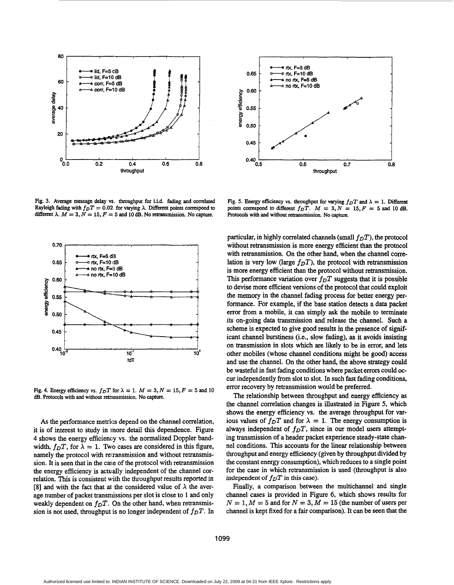

**Fig. 3. Average message delay vs. throughput for i.i.d. fading and correlated Rayleigh fading with**  $f_{DT} = 0.02$  **for varying**  $\lambda$ **. Different points correspond to** different  $\lambda$ ,  $M = 3$ ,  $N = 15$ ,  $F = 5$  and 10 dB. No retransmission. No capture.



**Fig. 4. Energy efficiency vs.**  $f_D T$  for  $\lambda = 1$ .  $M = 3$ ,  $N = 15$ ,  $F = 5$  and 10 **dB. Protocols with and without retrimsmission. No capture.** 

*As* the performance metrics depend on the channel correlation, it is of interest to study in inore detail this dependence. Figure **4** shows the energy efficiency vs. the normalized Doppler bandwidth,  $f_D T$ , for  $\lambda = 1$ . Two cases are considered in this figure, namely the protocol with retransmission and without retransmission. It is seen that in the case of the protocol with retransmission the energy efficiency is actually independent of the channel correlation. **This** is consistent with the throughput results reported in [8] and with the fact that at the considered value of  $\lambda$  the average number of packet transmissions per slot is close to 1 and only weakly dependent on  $f_D T$ . On the other hand, when retransmission is not used, throughput is no longer independent of  $f_D T$ . In



Fig. 5. Energy efficiency vs. throughput for varying  $f_D T$  and  $\lambda = 1$ . Different **points correspond to different**  $f_pT$ **.**  $M = 3, N = 15, F = 5$  and 10 dB. **Protocols** with **and without retransmission. No** capture.

particular, in highly correlated channels (small  $f_D T$ ), the protocol without retransmission is more energy efficient than the protocol with retransmission. On the other hand, when the channel correlation is very low (large  $f<sub>D</sub>T$ ), the protocol with retransmission is more energy efficient than the protocol without retransmission. This performance variation over  $f_D T$  suggests that it is possible to devise more efficient versions of the protocol that could exploit the memory in the channel fading process for better energy performance. For example, if the base station detects a data packet error from a mobile, it can simply ask the mobile to terminate its on-going data transmission and release the channel. Such a scheme is expected to give good results in the presence of significant channel burstiness (i.e., slow fading), **as** it avoids insisting on transmission in slots which are likely to be in error, and lets other mobiles (whose channel conditions might be good) access and use the channel. On the other hand, the above strategy could be wasteful in fast fading conditions where packet errors could occur independently from slot to slot. In such fast fading conditions, error recovery by retransmission would be preferred.

The relationship between throughput and energy efficiency **as**  the channel correlation changes is illustrated in Figure *5,* which shows the energy efficiency vs. the average throughput for various values of  $f_D T$  and for  $\lambda = 1$ . The energy consumption is always independent of  $f_D T$ , since in our model users attempting transmission of a header packet experience steady-state channel conditions. **This** accounts for the linear relationship between throughput and energy efficiency (given by throughput divided by the constant energy consumption), which reduces to a single point for the case in which retransmission is used (throughput is also independent of  $f_D T$  in this case).

Finally, a comparison between the multichannel and single channel cases is provided in Figure 6, which shows results for  $N = 1, M = 5$  and for  $N = 3, M = 15$  (the number of users per channel is kept fixed for a fair comparison). It can be seen that the